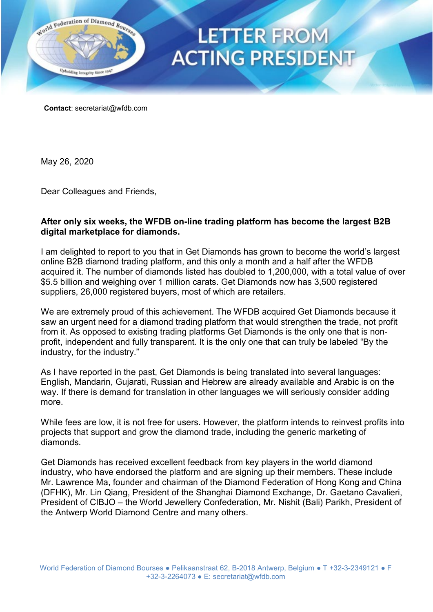

## **LETTER FROM ACTING PRESIDENT**

**Contact**: [secretariat@wfdb.com](mailto:secretariat@wfdb.com) 

May 26, 2020

Dear Colleagues and Friends,

## **After only six weeks, the WFDB on-line trading platform has become the largest B2B digital marketplace for diamonds.**

I am delighted to report to you that in Get Diamonds has grown to become the world's largest online B2B diamond trading platform, and this only a month and a half after the WFDB acquired it. The number of diamonds listed has doubled to 1,200,000, with a total value of over \$5.5 billion and weighing over 1 million carats. Get Diamonds now has 3,500 registered suppliers, 26,000 registered buyers, most of which are retailers.

We are extremely proud of this achievement. The WFDB acquired Get Diamonds because it saw an urgent need for a diamond trading platform that would strengthen the trade, not profit from it. As opposed to existing trading platforms Get Diamonds is the only one that is nonprofit, independent and fully transparent. It is the only one that can truly be labeled "By the industry, for the industry."

As I have reported in the past, Get Diamonds is being translated into several languages: English, Mandarin, Gujarati, Russian and Hebrew are already available and Arabic is on the way. If there is demand for translation in other languages we will seriously consider adding more.

While fees are low, it is not free for users. However, the platform intends to reinvest profits into projects that support and grow the diamond trade, including the generic marketing of diamonds.

Get Diamonds has received excellent feedback from key players in the world diamond industry, who have endorsed the platform and are signing up their members. These include Mr. Lawrence Ma, founder and chairman of the Diamond Federation of Hong Kong and China (DFHK), Mr. Lin Qiang, President of the Shanghai Diamond Exchange, Dr. Gaetano Cavalieri, President of CIBJO – the World Jewellery Confederation, Mr. Nishit (Bali) Parikh, President of the Antwerp World Diamond Centre and many others.